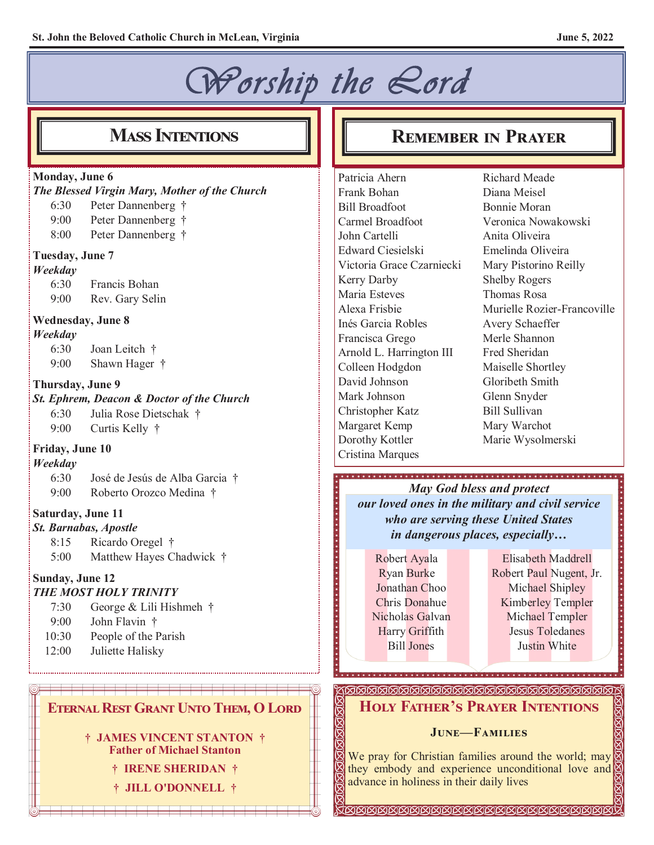# *Worship the Lord*

### **Monday, June 6**

*The Blessed Virgin Mary, Mother of the Church*

- 6:30 Peter Dannenberg †
- 9:00 Peter Dannenberg †
- 8:00 Peter Dannenberg †

### **Tuesday, June 7**

### *Weekday*

6:30 Francis Bohan 9:00 Rev. Gary Selin

### **Wednesday, June 8**

#### *Weekday*

6:30 Joan Leitch † 9:00 Shawn Hager †

### **Thursday, June 9**

*St. Ephrem, Deacon & Doctor of the Church*

- 6:30 Julia Rose Dietschak †
- 9:00 Curtis Kelly †

### **Friday, June 10**

### *Weekday*

6:30 José de Jesús de Alba Garcia † 9:00 Roberto Orozco Medina †

### **Saturday, June 11**

- *St. Barnabas, Apostle*
	- 8:15 Ricardo Oregel †
	- 5:00 Matthew Hayes Chadwick †

#### **Sunday, June 12** *THE MOST HOLY TRINITY*

- 7:30 George & Lili Hishmeh †
- 9:00 John Flavin †
- 10:30 People of the Parish
- 12:00 Juliette Halisky

### **Eternal Rest Grant Unto Them, O Lord**

**† JAMES VINCENT STANTON † Father of Michael Stanton**

**† IRENE SHERIDAN †**

**† JILL O'DONNELL †**

## **Mass Intentions REMEMBER IN PRAYER**

Patricia Ahern Frank Bohan Bill Broadfoot Carmel Broadfoot John Cartelli Edward Ciesielski Victoria Grace Czarniecki Kerry Darby Maria Esteves Alexa Frisbie Inés Garcia Robles Francisca Grego Arnold L. Harrington III Colleen Hodgdon David Johnson Mark Johnson Christopher Katz Margaret Kemp Dorothy Kottler Cristina Marques

Richard Meade Diana Meisel Bonnie Moran Veronica Nowakowski Anita Oliveira Emelinda Oliveira Mary Pistorino Reilly Shelby Rogers Thomas Rosa Murielle Rozier-Francoville Avery Schaeffer Merle Shannon Fred Sheridan Maiselle Shortley Gloribeth Smith Glenn Snyder Bill Sullivan Mary Warchot Marie Wysolmerski

### *May God bless and protect our loved ones in the military and civil service who are serving these United States in dangerous places, especially…*

Robert Ayala Ryan Burke Jonathan Choo Chris Donahue Nicholas Galvan Harry Griffith Bill Jones

Elisabeth Maddrell Robert Paul Nugent, Jr. Michael Shipley Kimberley Templer Michael Templer Jesus Toledanes Justin White

### **Holy Father's Prayer Intentions**

### **June—Families**

We pray for Christian families around the world; may they embody and experience unconditional love and advance in holiness in their daily lives

**SEESEESEESEESEESEESEESEESEESE**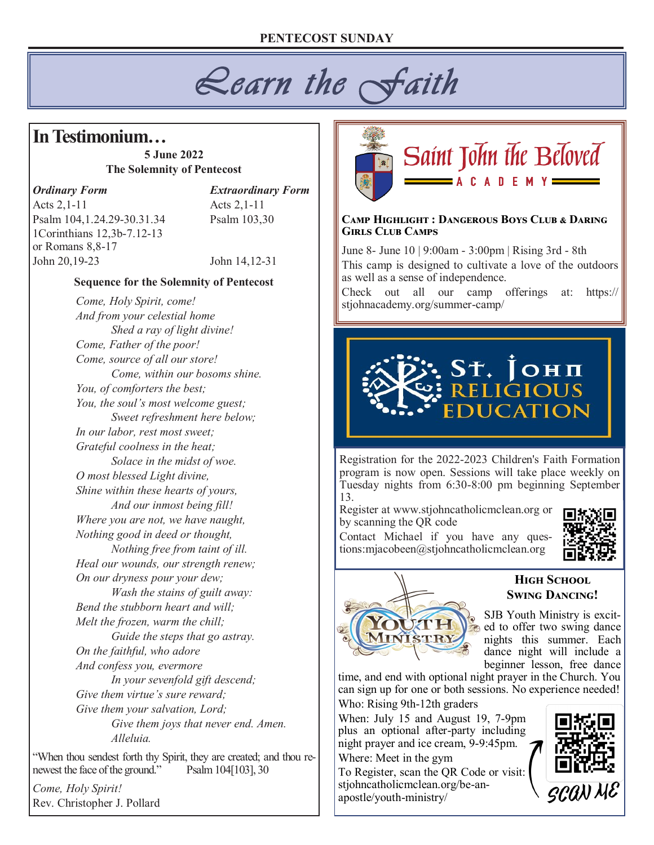*Learn the Faith* 

## **In Testimonium…**

**5 June 2022 The Solemnity of Pentecost**

### *Ordinary Form Extraordinary Form*

Acts 2, 1-11 Acts 2, 1-11 Psalm 104,1.24.29-30.31.34 Psalm 103,30 1Corinthians 12,3b-7.12-13 or Romans 8,8-17 John 20,19-23 John 14,12-31

### **Sequence for the Solemnity of Pentecost**

*Come, Holy Spirit, come! And from your celestial home Shed a ray of light divine! Come, Father of the poor! Come, source of all our store! Come, within our bosoms shine. You, of comforters the best; You, the soul's most welcome guest; Sweet refreshment here below; In our labor, rest most sweet; Grateful coolness in the heat; Solace in the midst of woe. O most blessed Light divine, Shine within these hearts of yours, And our inmost being fill! Where you are not, we have naught, Nothing good in deed or thought, Nothing free from taint of ill. Heal our wounds, our strength renew; On our dryness pour your dew; Wash the stains of guilt away: Bend the stubborn heart and will; Melt the frozen, warm the chill; Guide the steps that go astray. On the faithful, who adore And confess you, evermore In your sevenfold gift descend; Give them virtue's sure reward; Give them your salvation, Lord; Give them joys that never end. Amen. Alleluia.*

"When thou sendest forth thy Spirit, they are created; and thou renewest the face of the ground." Psalm 104[103], 30

*Come, Holy Spirit!* Rev. Christopher J. Pollard



#### **Camp Highlight : Dangerous Boys Club & Daring Girls Club Camps**

June 8- June 10 | 9:00am - 3:00pm | Rising 3rd - 8th This camp is designed to cultivate a love of the outdoors as well as a sense of independence.

Check out all our camp offerings at: https:// stjohnacademy.org/summer-camp/



Registration for the 2022-2023 Children's Faith Formation program is now open. Sessions will take place weekly on Tuesday nights from 6:30-8:00 pm beginning September 13.

Register at www.stjohncatholicmclean.org or by scanning the QR code

Contact Michael if you have any questions:mjacobeen@stjohncatholicmclean.org





### **High School Swing Dancing!**

SJB Youth Ministry is excited to offer two swing dance nights this summer. Each dance night will include a beginner lesson, free dance

time, and end with optional night prayer in the Church. You can sign up for one or both sessions. No experience needed! Who: Rising 9th-12th graders

When: July 15 and August 19, 7-9pm plus an optional after-party including night prayer and ice cream, 9-9:45pm. Where: Meet in the gym

To Register, scan the QR Code or visit: stjohncatholicmclean.org/be-anapostle/youth-ministry/

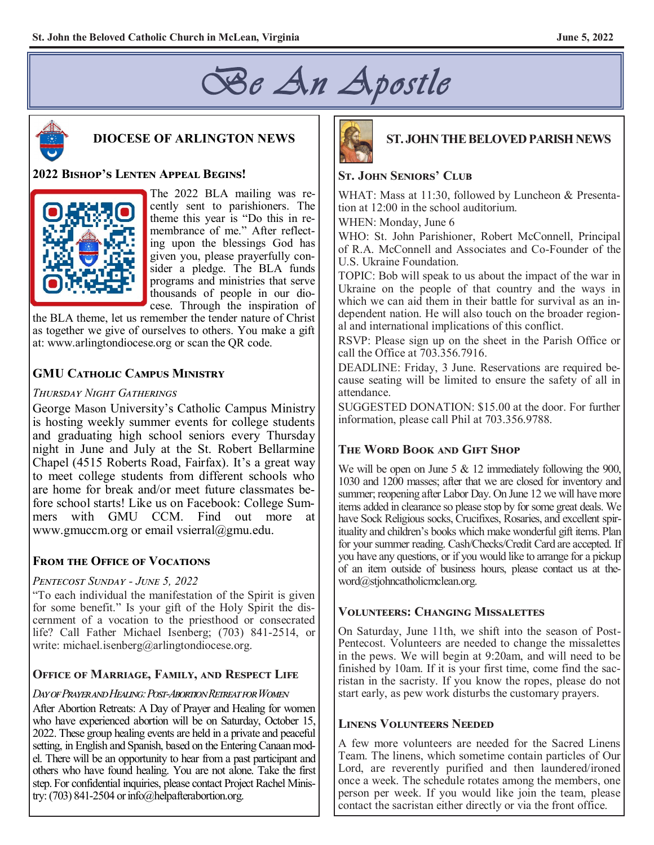



### **DIOCESE OF ARLINGTON NEWS**

### **2022 Bishop's Lenten Appeal Begins!**



The 2022 BLA mailing was recently sent to parishioners. The theme this year is "Do this in remembrance of me." After reflecting upon the blessings God has given you, please prayerfully consider a pledge. The BLA funds programs and ministries that serve thousands of people in our diocese. Through the inspiration of

the BLA theme, let us remember the tender nature of Christ as together we give of ourselves to others. You make a gift at: www.arlingtondiocese.org or scan the QR code.

### **GMU Catholic Campus Ministry**

### *Thursday Night Gatherings*

George Mason University's Catholic Campus Ministry is hosting weekly summer events for college students and graduating high school seniors every Thursday night in June and July at the St. Robert Bellarmine Chapel (4515 Roberts Road, Fairfax). It's a great way to meet college students from different schools who are home for break and/or meet future classmates before school starts! Like us on Facebook: College Summers with GMU CCM. Find out more at www.gmuccm.org or email vsierral@gmu.edu.

### **From the Office of Vocations**

### *Pentecost Sunday - June 5, 2022*

"To each individual the manifestation of the Spirit is given for some benefit." Is your gift of the Holy Spirit the discernment of a vocation to the priesthood or consecrated life? Call Father Michael Isenberg; (703) 841-2514, or write: michael.isenberg@arlingtondiocese.org.

### **Office of Marriage, Family, and Respect Life**

### *Day of Prayer and Healing: Post-Abortion Retreat for Women*

After Abortion Retreats: A Day of Prayer and Healing for women who have experienced abortion will be on Saturday, October 15, 2022. These group healing events are held in a private and peaceful setting, in English and Spanish, based on the Entering Canaan model. There will be an opportunity to hear from a past participant and others who have found healing. You are not alone. Take the first step. For confidential inquiries, please contact Project Rachel Ministry: (703) 841-2504 or info@helpafterabortion.org.



### **ST. JOHN THE BELOVED PARISH NEWS**

### **St. John Seniors' Club**

WHAT: Mass at 11:30, followed by Luncheon & Presentation at 12:00 in the school auditorium.

WHEN: Monday, June 6

WHO: St. John Parishioner, Robert McConnell, Principal of R.A. McConnell and Associates and Co-Founder of the U.S. Ukraine Foundation.

TOPIC: Bob will speak to us about the impact of the war in Ukraine on the people of that country and the ways in which we can aid them in their battle for survival as an independent nation. He will also touch on the broader regional and international implications of this conflict.

RSVP: Please sign up on the sheet in the Parish Office or call the Office at 703.356.7916.

DEADLINE: Friday, 3 June. Reservations are required because seating will be limited to ensure the safety of all in attendance.

SUGGESTED DONATION: \$15.00 at the door. For further information, please call Phil at 703.356.9788.

### **The Word Book and Gift Shop**

We will be open on June 5 & 12 immediately following the 900, 1030 and 1200 masses; after that we are closed for inventory and summer; reopening after Labor Day. On June 12 we will have more items added in clearance so please stop by for some great deals. We have Sock Religious socks, Crucifixes, Rosaries, and excellent spirituality and children's books which make wonderful gift items. Plan for your summer reading. Cash/Checks/Credit Card are accepted. If you have any questions, or if you would like to arrange for a pickup of an item outside of business hours, please contact us at theword@stjohncatholicmclean.org.

### **Volunteers: Changing Missalettes**

On Saturday, June 11th, we shift into the season of Post-Pentecost. Volunteers are needed to change the missalettes in the pews. We will begin at 9:20am, and will need to be finished by 10am. If it is your first time, come find the sacristan in the sacristy. If you know the ropes, please do not start early, as pew work disturbs the customary prayers.

### **Linens Volunteers Needed**

A few more volunteers are needed for the Sacred Linens Team. The linens, which sometime contain particles of Our Lord, are reverently purified and then laundered/ironed once a week. The schedule rotates among the members, one person per week. If you would like join the team, please contact the sacristan either directly or via the front office.